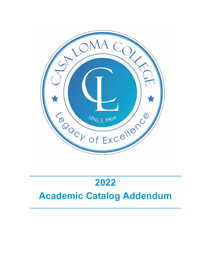

# **2022**

## **Academic Catalog Addendum**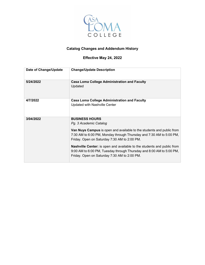

### **Catalog Changes and Addendum History**

### **Effective May 24, 2022**

| Date of Change/Update | <b>Change/Update Description</b>                                                                                                                                                                                                                                                                                                                                                                                                                                 |
|-----------------------|------------------------------------------------------------------------------------------------------------------------------------------------------------------------------------------------------------------------------------------------------------------------------------------------------------------------------------------------------------------------------------------------------------------------------------------------------------------|
| 5/24/2022             | <b>Casa Loma College Administration and Faculty</b><br>Updated                                                                                                                                                                                                                                                                                                                                                                                                   |
| 4/7/2022              | <b>Casa Loma College Administration and Faculty</b><br><b>Updated with Nashville Center</b>                                                                                                                                                                                                                                                                                                                                                                      |
| 3/04/2022             | <b>BUSINESS HOURS</b><br>Pg. 3 Academic Catalog<br><b>Van Nuys Campus</b> is open and available to the students and public from<br>7:30 AM to 6:00 PM, Monday through Thursday and 7:30 AM to 5:00 PM,<br>Friday. Open on Saturday 7:30 AM to 2:00 PM.<br><b>Nashville Center:</b> is open and available to the students and public from<br>9:00 AM to 6:00 PM, Tuesday through Thursday and 8:00 AM to 5:00 PM,<br>Friday. Open on Saturday 7:30 AM to 2:00 PM. |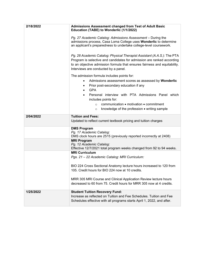| 2/18/2022 | <b>Admissions Assessment changed from Test of Adult Basic</b><br>Education (TABE) to Wonderlic (1/1/2022)<br>Pg. 27 Academic Catalog: Admissions Assessment - During the<br>admissions process, Casa Loma College uses Wonderlic to determine<br>an applicant's preparedness to undertake college-level coursework.<br>Pg. 28 Academic Catalog: Physical Therapist Assistant (A.A.S.): The PTA<br>Program is selective and candidates for admission are ranked according<br>to an objective admission formula that ensures fairness and equitability.<br>Interviews are conducted by a panel.<br>The admission formula includes points for:<br>Admissions assessment scores as assessed by Wonderlic<br>$\bullet$<br>Prior post-secondary education if any<br><b>GPA</b> |  |  |  |  |
|-----------|--------------------------------------------------------------------------------------------------------------------------------------------------------------------------------------------------------------------------------------------------------------------------------------------------------------------------------------------------------------------------------------------------------------------------------------------------------------------------------------------------------------------------------------------------------------------------------------------------------------------------------------------------------------------------------------------------------------------------------------------------------------------------|--|--|--|--|
|           | Personal interview with PTA Admissions Panel which<br>includes points for:<br>communication • motivation • commitment<br>$\circ$<br>knowledge of the profession . writing sample<br>$\circ$                                                                                                                                                                                                                                                                                                                                                                                                                                                                                                                                                                              |  |  |  |  |
| 2/04/2022 | <b>Tuition and Fees:</b><br>Updated to reflect current textbook pricing and tuition charges                                                                                                                                                                                                                                                                                                                                                                                                                                                                                                                                                                                                                                                                              |  |  |  |  |
|           | <b>DMS Program</b><br>Pg. 17 Academic Catalog:<br>DMS clock hours are 2515 (previously reported incorrectly at 2408)                                                                                                                                                                                                                                                                                                                                                                                                                                                                                                                                                                                                                                                     |  |  |  |  |
|           | <b>MRI Program</b><br>Pg. 12 Academic Catalog:<br>Effective 12/7/2021 total program weeks changed from 92 to 94 weeks.                                                                                                                                                                                                                                                                                                                                                                                                                                                                                                                                                                                                                                                   |  |  |  |  |
|           | <b>MRI Curriculum</b><br>Pgs. 21 - 22 Academic Catalog: MRI Curriculum:                                                                                                                                                                                                                                                                                                                                                                                                                                                                                                                                                                                                                                                                                                  |  |  |  |  |
|           | BIO 224 Cross Sectional Anatomy lecture hours increased to 120 from<br>105. Credit hours for BIO 224 now at 10 credits.                                                                                                                                                                                                                                                                                                                                                                                                                                                                                                                                                                                                                                                  |  |  |  |  |
|           | MRR 305 MRI Course and Clinical Application Review lecture hours<br>decreased to 60 from 75. Credit hours for MRR 305 now at 4 credits.                                                                                                                                                                                                                                                                                                                                                                                                                                                                                                                                                                                                                                  |  |  |  |  |
| 1/25/2022 | <b>Student Tuition Recovery Fund:</b><br>Increase as reflected on Tuition and Fee Schedules. Tuition and Fee<br>Schedules effective with all programs starts April 1, 2022, and after.                                                                                                                                                                                                                                                                                                                                                                                                                                                                                                                                                                                   |  |  |  |  |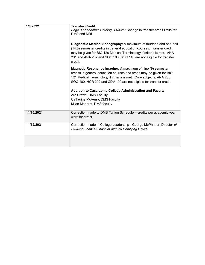| 1/6/2022   | <b>Transfer Credit</b><br>Page 30 Academic Catalog, 11/4/21: Change in transfer credit limits for<br>DMS and MRI.<br>Diagnostic Medical Sonography: A maximum of fourteen and one-half<br>(14.5) semester credits in general education courses. Transfer credit<br>may be given for BIO 120 Medical Terminology if criteria is met. ANA<br>201 and ANA 202 and SOC 100, SOC 110 are not eligible for transfer<br>credit.<br>Magnetic Resonance Imaging: A maximum of nine (9) semester<br>credits in general education courses and credit may be given for BIO<br>121 Medical Terminology if criteria is met. Core subjects, ANA 200,<br>SOC 100, HCR 202 and CDV 100 are not eligible for transfer credit.<br>Addition to Casa Loma College Administration and Faculty<br>Ara Brown, DMS Faculty<br>Catherine McVerry, DMS Faculty<br>Milan Manorat, DMS faculty |
|------------|-------------------------------------------------------------------------------------------------------------------------------------------------------------------------------------------------------------------------------------------------------------------------------------------------------------------------------------------------------------------------------------------------------------------------------------------------------------------------------------------------------------------------------------------------------------------------------------------------------------------------------------------------------------------------------------------------------------------------------------------------------------------------------------------------------------------------------------------------------------------|
| 11/16/2021 | Correction made to DMS Tuition Schedule - credits per academic year<br>were incorrect.                                                                                                                                                                                                                                                                                                                                                                                                                                                                                                                                                                                                                                                                                                                                                                            |
| 11/12/2021 | Correction made in College Leadership - George McPhatter, Director of<br>Student Finance/Financial Aid/ VA Certifying Official                                                                                                                                                                                                                                                                                                                                                                                                                                                                                                                                                                                                                                                                                                                                    |
|            |                                                                                                                                                                                                                                                                                                                                                                                                                                                                                                                                                                                                                                                                                                                                                                                                                                                                   |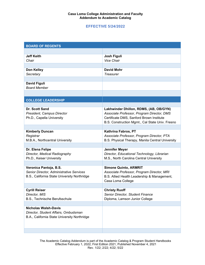#### **EFFECTIVE 5/24/2022**

| <b>BOARD OF REGENTS</b>                             |                                                                                                |
|-----------------------------------------------------|------------------------------------------------------------------------------------------------|
|                                                     |                                                                                                |
| <b>Jeff Keith</b>                                   | <b>Josh Figuli</b>                                                                             |
| Chair                                               | <b>Vice Chair</b>                                                                              |
| Don Kelley                                          | <b>David Mohr</b>                                                                              |
| Secretary                                           | Treasurer                                                                                      |
|                                                     |                                                                                                |
| <b>David Figuli</b>                                 |                                                                                                |
| <b>Board Member</b>                                 |                                                                                                |
|                                                     |                                                                                                |
| <b>COLLEGE LEADERSHIP</b>                           |                                                                                                |
|                                                     |                                                                                                |
| <b>Dr. Scott Sand</b><br>President, Campus Director | Lakhwinder Dhillon, RDMS, (AB, OB/GYN)<br>Associate Professor, Program Director, DMS           |
| Ph.D., Capella University                           | Certificate DMS, Sanford Brown Institute                                                       |
|                                                     | B.S. Construction Mgmt., Cal State Univ. Fresno                                                |
|                                                     |                                                                                                |
| <b>Kimberly Duncan</b>                              | Kathrina Fabros, PT                                                                            |
| Registrar<br>M.B.A., Northcentral University        | Associate Professor, Program Director, PTA<br>B.S. Physical Therapy, Manila Central University |
|                                                     |                                                                                                |
| Dr. Elena Felipe                                    | Jennifer Meyer                                                                                 |
| Director, Medical Radiography                       | Director, Educational Technology, Librarian                                                    |
| Ph.D., Keiser University                            | M.S., North Carolina Central University                                                        |
| Veronica Pantoja, B.S.                              | <b>Simone Quinto, ARMRIT</b>                                                                   |
| Senior Director, Administrative Services            | Associate Professor, Program Director, MRI                                                     |
| B.S., California State University Northridge        | B.S. Allied Health Leadership & Management,                                                    |
|                                                     | Casa Loma College                                                                              |
|                                                     |                                                                                                |
| <b>Cyrill Reiser</b><br>Director, MIS               | <b>Christy Ruoff</b><br>Senior Director, Student Finance                                       |
| B.S., Technische Berufsschule                       | Diploma, Lamson Junior College                                                                 |
|                                                     |                                                                                                |
| <b>Nicholas Walsh-Davis</b>                         |                                                                                                |
| Director, Student Affairs, Ombudsman                |                                                                                                |
| B.A., California State University Northridge        |                                                                                                |
|                                                     |                                                                                                |
|                                                     |                                                                                                |

The Academic Catalog Addendum is part of the Academic Catalog & Program Student Handbooks Effective February 1, 2022, First Edition 2021, Published November 4, 2021 Rev. 1/22; 2/22; 4/22; 5/22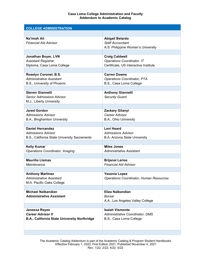| <b>COLLEGE ADMINISTRATION</b>                                                                        |                                                                                         |
|------------------------------------------------------------------------------------------------------|-----------------------------------------------------------------------------------------|
|                                                                                                      |                                                                                         |
| Na'imah Ali<br><b>Financial Aid Advisor</b>                                                          | <b>Abigail Belardo</b><br><b>Staff Accountant</b><br>A.S. Philippine Women's University |
| Jonathan Boyer, LVN                                                                                  | <b>Craig Caldwell</b>                                                                   |
| <b>Assistant Registrar</b><br>Diploma, Casa Loma College                                             | <b>Operations Coordinator, IT</b><br>Certificate, US Interactive Institute              |
|                                                                                                      |                                                                                         |
| Roselyn Coronel, B.S.<br><b>Administrative Assistant</b><br>B.S., University of Phoenix              | <b>Carren Downs</b><br><b>Operations Coordinator, PTA</b><br>B.S., Casa Loma College    |
|                                                                                                      |                                                                                         |
| <b>Steven Giannelli</b><br><b>Senior Admissions Advisor</b><br>M.J., Liberty University              | <b>Anthony Giannelli</b><br><b>Security Guard</b>                                       |
|                                                                                                      |                                                                                         |
| <b>Jared Gordon</b><br><b>Admissions Advisor</b><br>B.A., Binghamton University                      | Zackary Gilanyi<br>Career Advisor<br>B.A., Ohio University                              |
|                                                                                                      |                                                                                         |
| <b>Daniel Hernandez</b><br><b>Admissions Advisor</b><br>B.S., California State University Sacramento | <b>Levi Heard</b><br><b>Admissions Advisor</b><br>B.A. Arizona State University         |
|                                                                                                      |                                                                                         |
| <b>Kelly Kumar</b><br><b>Operations Coordinator, Imaging</b>                                         | <b>Miles Jones</b><br><b>Administrative Assistant</b>                                   |
| <b>Maurilia Llamas</b>                                                                               | <b>Brijanai Larios</b>                                                                  |
| Maintenance                                                                                          | <b>Financial Aid Advisor</b>                                                            |
|                                                                                                      |                                                                                         |
| <b>Anthony Martinez</b><br><b>Administrative Assistant</b><br>M.A. Pacific Oaks College              | Yesenia Lopez<br><b>Operations Coordinator, Human Resources</b>                         |
|                                                                                                      |                                                                                         |
| <b>Michael Nalbandian</b><br><b>Administrative Assistant</b>                                         | Eliza Nalbandian<br>Bursar<br>A.A., Los Angeles Valley College                          |
|                                                                                                      |                                                                                         |
| <b>Janessa Reyes</b><br><b>Career Advisor II</b><br>B.A., California State University Northridge     | <b>Isaiah Vismonte</b><br>Administrative Coordinator, DMS<br>B.S., Casa Loma College    |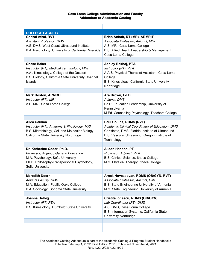| <b>COLLEGE FACULTY</b>                                                                                                                                                     |                                                                                                                                                                           |
|----------------------------------------------------------------------------------------------------------------------------------------------------------------------------|---------------------------------------------------------------------------------------------------------------------------------------------------------------------------|
| <b>Ghazal Afzal, RVT</b><br><b>Assistant Professor, DMS</b><br>A.S. DMS, West Coast Ultrasound Institute<br>B.A. Psychology, University of California Riverside            | Brian Anhalt, RT (MR), ARMRIT<br>Associate Professor, Adjunct, MRI<br>A.S. MRI, Casa Loma College<br>B.S. Allied Health Leadership & Management,<br>Casa Loma College     |
| <b>Chase Baker</b>                                                                                                                                                         | Ashley Bakhaj, PTA                                                                                                                                                        |
| Instructor (PT), Medical Terminology, MRI<br>A.A., Kinesiology, College of the Dessert<br>B.S. Biology, California State University Channel<br><b>Islands</b>              | Instructor (PT), PTA<br>A.A.S. Physical Therapist Assistant, Casa Loma<br>College<br>B.S. Kinesiology, California State University<br>Northridge                          |
|                                                                                                                                                                            |                                                                                                                                                                           |
| <b>Mark Boston, ARMRIT</b><br>Instructor (PT), MRI<br>A.S. MRI, Casa Loma College                                                                                          | Ara Brown, Ed.D.<br>Adjunct, DMS<br>Ed.D. Education Leadership, University of<br>Pennsylvania<br>M.Ed. Counseling Psychology, Teachers College                            |
| <b>Allea Caulian</b>                                                                                                                                                       | Paul Collins, RDMS (RVT)                                                                                                                                                  |
| Instructor (PT), Anatomy & Physiology, MRI<br>B.S. Microbiology, Cell and Molecular Biology<br>California State University Northridge                                      | Academic Clinical Coordinator of Education, DMS<br>Certificate, DMS, Florida Institute of Ultrasound<br>B.S. Vascular Ultrasound, Oregon Institute of<br>Technology       |
|                                                                                                                                                                            |                                                                                                                                                                           |
| Dr. Katherine Coder, Ph.D.<br>Professor, Adjunct, General Education<br>M.A. Psychology, Sofia University<br>Ph.D. Philosophy-Transpersonal Psychology,<br>Sofia University | <b>Alison Hanson, PT</b><br>Professor, Adjunct, PTA<br>B.S. Clinical Science, Ithaca College<br>M.S. Physical Therapy, Ithaca College                                     |
|                                                                                                                                                                            |                                                                                                                                                                           |
| <b>Meredith Doerr</b><br><b>Adjunct Faculty, DMS</b><br>M.A. Education, Pacific Oaks College<br>B.A. Sociology, Sonoma State University                                    | Arnak Hovasapyan, RDMS (OB/GYN, RVT)<br>Associate Professor, Adjunct, DMS<br>B.S. State Engineering University of Armenia<br>M.S. State Engineering University of Armenia |
|                                                                                                                                                                            |                                                                                                                                                                           |
| Joanna Helbig<br>Instructor (PT) PTA<br>B.S. Kinesiology, Humboldt State University                                                                                        | Cristita Ionescu, RDMS (OB/GYN)<br>Lab Coordinator (PT), DMS<br>A.S. DMS, Casa Loma College<br>B.S. Information Systems, California State<br><b>University Northridge</b> |
|                                                                                                                                                                            |                                                                                                                                                                           |
|                                                                                                                                                                            |                                                                                                                                                                           |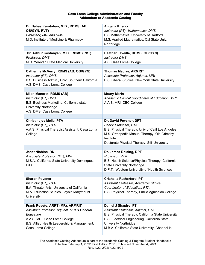| Dr. Bahaa Karatahan, M.D., RDMS (AB,                                    | Angella Kirabo                                                                       |
|-------------------------------------------------------------------------|--------------------------------------------------------------------------------------|
| OB/GYN, RVT)                                                            | Instructor (PT), Mathematics, DMS                                                    |
| Professor, MRI and DMS                                                  | B.S Mathematics, University of Hartford                                              |
| M.D. Institute of Medicine & Pharmacy                                   | M.S. Applied Mathematics, Cal State Univ.                                            |
|                                                                         | Northridge                                                                           |
|                                                                         |                                                                                      |
| Dr. Arthur Kostanyan, M.D., RDMS (RVT)                                  | Heather Leveille, RDMS (OB/GYN)                                                      |
| Professor, DMS                                                          | <b>Instructor DMS</b>                                                                |
| M.D. Yerevan State Medical University                                   | A.S. Casa Loma College                                                               |
|                                                                         |                                                                                      |
| Catherine McVerry, RDMS (AB, OB/GYN)                                    | <b>Thomas Macias, ARMRIT</b>                                                         |
| Instructor (PT), DMS<br>B.S. Business Admin., Univ. Southern California | Associate Professor, Adjunct, MRI<br>B.S. Liberal Studies, New York State University |
| A.S. DMS, Casa Loma College                                             |                                                                                      |
|                                                                         |                                                                                      |
| Milan Manorat, RDMS (AB)                                                | <b>Maury Marin</b>                                                                   |
| Instructor (PT) DMS                                                     | Academic Clinical Coordinator of Education, MRI                                      |
| B.S. Business Marketing, California state                               | A.A.S. MRI, CBC College                                                              |
| <b>University Northridge</b>                                            |                                                                                      |
| A.S. DMS, Casa Loma College                                             |                                                                                      |
|                                                                         |                                                                                      |
| <b>Christinejoy Mejia, PTA</b>                                          | Dr. David Pevsner, DPT                                                               |
| Instructor (PT), PTA                                                    | Senior Professor, PTA                                                                |
| A.A.S. Physical Therapist Assistant, Casa Loma                          | B.S. Physical Therapy, Univ of Calif Los Angeles                                     |
| College                                                                 | M.S. Orthopedic Manual Therapy, Ola Grimsby                                          |
|                                                                         | Institute                                                                            |
|                                                                         | Doctorate Physical Therapy, Still University                                         |
|                                                                         |                                                                                      |
| Janet Nishina, RN                                                       | Dr. James Reising, DPT                                                               |
| Associate Professor, (PT), MRI                                          | Professor, PTA                                                                       |
| M.S.N. California State University Dominquez                            | B.S. Health Science/Physical Therapy, California                                     |
| <b>Hills</b>                                                            | <b>State University Northridge</b>                                                   |
|                                                                         | D.P.T., Western University of Health Sciences                                        |
| <b>Sharon Pevsner</b>                                                   | Crisheila Rutherford, PT                                                             |
| Instructor (PT), PTA                                                    | Assistant Professor, Academic Clinical                                               |
| B.A. Theater Arts, University of California                             | Coordinator of Education, PTA                                                        |
| M.A. Education Studies, Loyola Marymount                                | B.S. Physical Therapy, Emilio Aguinaldo College                                      |
| University                                                              |                                                                                      |
|                                                                         |                                                                                      |
| Frank Roseto, ARRT (MR), ARMRIT                                         | Daniel J Shapiro, PT                                                                 |
| Assistant Professor, Adjunct, MRI & General                             | Assistant Professor, Adjunct, PTA                                                    |
| Education                                                               | B.S. Physical Therapy, California State University                                   |
| A.A.S. MRI, Casa Loma College                                           | B.S. Electrical Engineering, California State                                        |
| B.S. Allied Health Leadership & Management,                             | <b>University Northridge</b>                                                         |
| Casa Loma College                                                       | M.B.A. California State University, Channel Is.                                      |
|                                                                         |                                                                                      |

The Academic Catalog Addendum is part of the Academic Catalog & Program Student Handbooks Effective February 1, 2022, First Edition 2021, Published November 4, 2021 Rev. 1/22; 2/22; 4/22; 5/22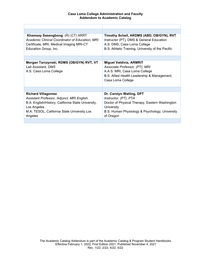| Timothy Schell, ARDMS (ABD, OB/GYN), RVT                                                                                                                                         |
|----------------------------------------------------------------------------------------------------------------------------------------------------------------------------------|
| Instructor (PT), DMS & General Education<br>A.S. DMS, Casa Loma College                                                                                                          |
| B.S. Athletic Training, University of the Pacific                                                                                                                                |
|                                                                                                                                                                                  |
| <b>Miguel Valdivia, ARMRIT</b><br>Associate Professor, (PT), MRI<br>A.A.S. MRI, Casa Loma College<br>B.S. Allied Health Leadership & Management,<br>Casa Loma College            |
|                                                                                                                                                                                  |
| Dr. Carolyn Watling, DPT<br>Instructor, (PT), PTA<br>Doctor of Physical Therapy, Eastern Washington<br>University<br>B.S. Human Physiology & Psychology, University<br>of Oregon |
|                                                                                                                                                                                  |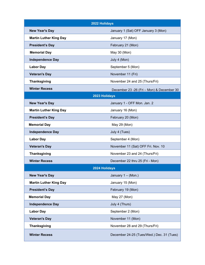| 2022 Holidays                 |                                            |  |  |
|-------------------------------|--------------------------------------------|--|--|
| <b>New Year's Day</b>         | January 1 (Sat) OFF January 3 (Mon)        |  |  |
| <b>Martin Luther King Day</b> | January 17 (Mon)                           |  |  |
| <b>President's Day</b>        | February 21 (Mon)                          |  |  |
| <b>Memorial Day</b>           | May 30 (Mon)                               |  |  |
| <b>Independence Day</b>       | July 4 (Mon)                               |  |  |
| <b>Labor Day</b>              | September 5 (Mon)                          |  |  |
| <b>Veteran's Day</b>          | November 11 (Fri)                          |  |  |
| <b>Thanksgiving</b>           | November 24 and 25 (Thurs/Fri)             |  |  |
| <b>Winter Recess</b>          | December 23 - 26 (Fri - Mon) & December 30 |  |  |
| 2023 Holidays                 |                                            |  |  |
| <b>New Year's Day</b>         | January 1 - OFF Mon. Jan. 2                |  |  |
| <b>Martin Luther King Day</b> | January 16 (Mon)                           |  |  |
| <b>President's Day</b>        | February 20 (Mon)                          |  |  |
| <b>Memorial Day</b>           | May 29 (Mon)                               |  |  |
| <b>Independence Day</b>       | July 4 (Tues)                              |  |  |
| <b>Labor Day</b>              | September 4 (Mon)                          |  |  |
| <b>Veteran's Day</b>          | November 11 (Sat) OFF Fri. Nov. 10         |  |  |
| <b>Thanksgiving</b>           | November 23 and 24 (Thurs/Fri)             |  |  |
| <b>Winter Recess</b>          | December 22 thru 25 (Fri - Mon)            |  |  |
|                               | 2024 Holidavs                              |  |  |
| <b>New Year's Day</b>         | January 1 - (Mon.)                         |  |  |
| <b>Martin Luther King Day</b> | January 15 (Mon)                           |  |  |
| <b>President's Day</b>        | February 19 (Mon)                          |  |  |
| <b>Memorial Day</b>           | May 27 (Mon)                               |  |  |
| <b>Independence Day</b>       | July 4 (Thurs)                             |  |  |
| <b>Labor Day</b>              | September 2 (Mon)                          |  |  |
| <b>Veteran's Day</b>          | November 11 (Mon)                          |  |  |
| <b>Thanksgiving</b>           | November 28 and 29 (Thurs/Fri)             |  |  |
| <b>Winter Recess</b>          | December 24-25 (Tues/Wed.) Dec. 31 (Tues)  |  |  |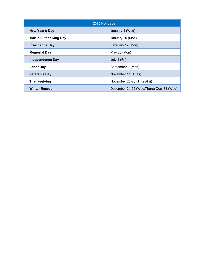| 2025 Holidays                 |                                          |  |
|-------------------------------|------------------------------------------|--|
| <b>New Year's Day</b>         | January 1 (Wed)                          |  |
| <b>Martin Luther King Day</b> | January 20 (Mon)                         |  |
| <b>President's Day</b>        | February 17 (Mon)                        |  |
| <b>Memorial Day</b>           | May 26 (Mon)                             |  |
| <b>Independence Day</b>       | July 4 (Fri)                             |  |
| <b>Labor Day</b>              | September 1 (Mon)                        |  |
| <b>Veteran's Day</b>          | November 11 (Tues)                       |  |
| <b>Thanksgiving</b>           | November 25-26 (Thurs/Fri)               |  |
| <b>Winter Recess</b>          | December 24-25 (Wed/Thurs) Dec. 31 (Wed) |  |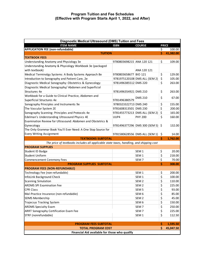| Diagnostic Medical Ultrasound (DMS) Tuition and Fees                                    |                           |                                  |     |              |
|-----------------------------------------------------------------------------------------|---------------------------|----------------------------------|-----|--------------|
| <b>ITEM NAME</b>                                                                        | <b>ISBN</b>               | <b>COURSE</b>                    |     | <b>PRICE</b> |
| <b>APPLICATION FEE (non-refundable)</b>                                                 |                           |                                  | \$  | 100.00       |
| <b>TUITION</b>                                                                          |                           |                                  | Ś.  | 41,382.00    |
| <b>TEXTBOOK FEES</b>                                                                    |                           |                                  |     |              |
| Understanding Anatomy and Physiology 3e                                                 | 9780803698215 ANA 120 121 |                                  | \$  | 109.00       |
| Understanding Anatomy & Physiology Workbook 3e (packaged                                |                           |                                  |     |              |
| with textbook)                                                                          |                           | ANA 120 121                      |     |              |
| Medical Terminolgy Systems: A Body Systems Approach 8e                                  | 9780803658677 BIO 121     |                                  | \$  | 129.00       |
| Introduction to Sonography and Patient Care, 2e                                         |                           | 9781975120108 DMS ALL (SEM 2)    | \$  | 105.00       |
| Diagnostic Medical Sonography: Obstetrics & Gynecology                                  | 9781496385512 DMS 220     |                                  | \$  | 263.00       |
| Diagnostic Medical Sonography/ Abdomen and Superficial                                  |                           |                                  |     |              |
| Structures 4e                                                                           | 9781496354921 DMS 210     |                                  | \$  | 263.00       |
| Workbook for a Guide to Clinical Practice, Abdomen and                                  |                           |                                  |     |              |
| Superficial Structures 4e                                                               | 9781496380579             | <b>DMS 210</b>                   | \$  | 67.00        |
| Sonography Principles and Instruments 9e                                                | 9780323322713 DMS 240     |                                  | \$  | 155.00       |
| The Vascular System 2E                                                                  | 9781608313501 DMS 230     |                                  | \$  | 200.00       |
| Sonography Scanning: Principles and Protocols 4e                                        |                           | 9781455773213 DMS ALL (SEM 2)    | \$  | 165.00       |
| Edelman's Understanding Ultrasound Physics 4E                                           | UUP4                      | <b>PHY 200</b>                   | \$  | 160.00       |
| Examination Review for Ultrasound: Abdomen and Obstetrics &                             |                           |                                  |     |              |
| Gynecology                                                                              |                           | 9781496377296 DMS 300 (SEM 5) \$ |     | 132.00       |
| The Only Grammar Book You'll Ever Need: A One Stop Source for                           |                           |                                  |     |              |
| <b>Every Writing Assignment</b>                                                         |                           | 9781580628556 DMS ALL (SEM 1)    | \$  | 14.00        |
| <b>TEXTBOOKS SUBTOTAL</b>                                                               |                           |                                  | \$  | 1,762.00     |
| The price of textbooks includes all applicable state taxes, handling, and shipping cost |                           |                                  |     |              |
| <b>PROGRAM SUPPLIES</b>                                                                 |                           |                                  |     |              |
| Student ID Badge                                                                        |                           | SEM <sub>1</sub>                 | \$  | 20.00        |
| <b>Student Uniform</b>                                                                  |                           | SEM <sub>1</sub>                 | \$  | 218.00       |
| <b>Commencement Ceremony Fees</b>                                                       |                           | SEM <sub>7</sub>                 | \$  | 70.00        |
| <b>PROGRAM SUPPLIES SUBTOTAL</b>                                                        |                           |                                  | \$  | 308.00       |
| <b>PROGRAM FEES (NON-REFUNDABLE)</b>                                                    |                           |                                  |     |              |
| Technology Fee (non-refundable)                                                         |                           | SEM <sub>1</sub>                 | \$  | 200.00       |
| InfoLink Background Check                                                               |                           | SEM 1                            | \$  | 100.00       |
| <b>Scanning Simulation</b>                                                              |                           | SEM <sub>2</sub>                 | \$  | 110.00       |
| <b>ARDMS SPI Examination Fee</b>                                                        |                           | SEM <sub>2</sub>                 | \$  | 225.00       |
| <b>CPR Class</b>                                                                        |                           | SEM <sub>5</sub>                 | \$  | 93.00        |
| Mal-Practice Insurance (non-refundable)                                                 |                           | SEM <sub>6</sub>                 | \$  | 85.00        |
| <b>SDMS Membership</b>                                                                  |                           | SEM <sub>2</sub>                 | \$  | 45.00        |
| Trajecsys Tracking System                                                               |                           | SEM 6                            | \$  | 150.00       |
| <b>ARDMS Specialty Exam</b>                                                             |                           | SEM <sub>7</sub>                 | \$  | 250.00       |
| <b>ARRT Sonography Certification Exam Fee</b>                                           |                           | SEM <sub>7</sub>                 | \$  | 225.00       |
| STRF (nonrefundable)                                                                    |                           | SEM <sub>1</sub>                 | \$  | 112.50       |
|                                                                                         |                           |                                  |     |              |
| <b>PROGRAM FEES SUBTOTAL</b>                                                            |                           |                                  | \$. | 1,595.50     |
| <b>TOTAL PROGRAM COST</b>                                                               |                           |                                  | Ś.  | 45,047.50    |
| Financial Aid available for those who qualify                                           |                           |                                  |     |              |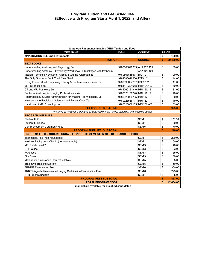| <b>Magnetic Resonance Imaging (MRI) Tuition and Fees</b>                                  |                           |                  |    |              |
|-------------------------------------------------------------------------------------------|---------------------------|------------------|----|--------------|
| <b>ITEM NAME</b>                                                                          | <b>ISBN</b>               | <b>COURSE</b>    |    | <b>PRICE</b> |
| <b>APPLICATION FEE (non-refundable)</b>                                                   |                           |                  | \$ | 100.00       |
| <b>TUITION</b>                                                                            |                           | <b>COURSE</b>    | \$ | 39,480.00    |
| <b>TEXTBOOKS</b>                                                                          |                           |                  |    |              |
| Understanding Anatomy and Physiology 3e                                                   | 9780803698215 ANA 120 121 |                  | \$ | 109.00       |
| Understanding Anatomy & Physiology Workbook 3e (packaged with textbook)                   |                           | ANA 120 121      |    |              |
| Medical Terminolgy Systems: A Body Systems Approach 8e                                    | 9780803658677 BIO 121     |                  | \$ | 129.00       |
| The Only Grammar Book You'll Ever Need                                                    | 9781580628556 ENG 101     |                  | \$ | 14.00        |
| Doing Ethics: Moral Reasoning, Theory & Contemporary Issues, 5e                           | 9780393667257 HCR 202     |                  | \$ | 111.00       |
| MRI in Practice 5E                                                                        | 9781119391968 MRI 101/102 |                  | \$ | 79.00        |
| CT and MRI Pathology 3e                                                                   | 9781260121940 MRI 120/121 |                  | \$ | 81.00        |
| Sectional Anatomy for Imaging Professionals, 4e                                           | 9780323100748 MRI 120/121 |                  | \$ | 170.00       |
| Pharmacology & Drug Administration for Imaging Technologists, 2e                          | 9780323030755 MRI 132     |                  | \$ | 80.00        |
| Introduction to Radiologic Sciences and Patient Care, 7e                                  | 9780323566711 MRI 132     |                  | \$ | 119.00       |
| Handbook of MRI Scanning, 1e                                                              | 9780323068185 MRI 200 A/B |                  | \$ | 83.00        |
| <b>TEXTBOOKS SUBTOTAL</b>                                                                 |                           |                  | \$ | 975.00       |
| The price of textbooks includes all applicable state taxes, handling, and shipping costs) |                           |                  |    |              |
| <b>PROGRAM SUPPLIES</b>                                                                   |                           |                  |    |              |
| <b>Student Uniform</b>                                                                    |                           | SEM <sub>1</sub> | \$ | 126.00       |
| Student ID Badge                                                                          |                           | SEM <sub>1</sub> | \$ | 20.00        |
| <b>Commencement Ceremony Fees</b>                                                         |                           | SEM <sub>6</sub> | \$ | 70.00        |
| <b>PROGRAM SUPPLIES SUBTOTAL</b>                                                          |                           |                  | \$ | 216.00       |
| <b>PROGRAM FEES - NON-REFUNDABLE ONCE THE SEMESTER OF THE CHARGE BEGINS</b>               |                           |                  |    |              |
| Technology Fee (non-refundable)                                                           |                           | SEM <sub>1</sub> | \$ | 200.00       |
| Info Link Background Check (non-refundable)                                               |                           | SEM <sub>1</sub> | \$ | 100.00       |
| MRI Safety Level 2                                                                        |                           | SEM <sub>3</sub> | \$ | 40.00        |
| <b>CPR Class</b>                                                                          |                           | SEM <sub>3</sub> | \$ | 93.00        |
| <b>IV Access</b>                                                                          |                           | SEM <sub>3</sub> | \$ | 65.00        |
| <b>Fire Class</b>                                                                         |                           | SEM <sub>3</sub> | \$ | 50.00        |
| Mal-Practice Insurance (non-refundable)                                                   |                           | SEM <sub>5</sub> | \$ | 85.00        |
| <b>Trajecsys Tracking System</b>                                                          |                           | SEM <sub>5</sub> | \$ | 150.00       |
| <b>ARMRIT Examination Fee</b>                                                             |                           | SEM <sub>6</sub> | \$ | 300.00       |
| ARRT Magnetic Resonance Imaging Certification Examination Fee                             |                           | SEM <sub>6</sub> | \$ | 225.00       |
| STRF (nonrefundable)                                                                      |                           | SEM <sub>1</sub> | \$ | 105.00       |
| <b>PROGRAM FEES SUBTOTAL</b>                                                              |                           |                  | \$ | 1,413.00     |
| <b>TOTAL PROGRAM COST</b>                                                                 |                           |                  | \$ | 42,084.00    |
| Financial aid available for qualified candidates                                          |                           |                  |    |              |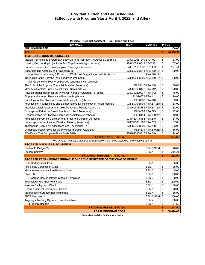| Physical Therapist Assistant (PTA) Tuition and Fees                                       |                              |                        |    |              |
|-------------------------------------------------------------------------------------------|------------------------------|------------------------|----|--------------|
| <b>ITEM NAME</b>                                                                          | <b>ISBN</b>                  | <b>COURSE</b>          |    | <b>PRICE</b> |
| <b>APPLICATION FEE</b>                                                                    |                              |                        | \$ | 100.00       |
| <b>TUITION</b>                                                                            |                              |                        | \$ | 46,966.50    |
| <b>TEXTBOOKS (NON-REFUNDABLE)</b>                                                         |                              |                        |    |              |
| Medical Terminology Systems: A Body Systems Approach (w/Access Code), 8e                  | 9780803661240 BIO 100        |                        | \$ | 83.00        |
| Looking Out, Looking In (includes MindTap 6 month digital access)                         | 9781305940642 COM 121        |                        | \$ | 107.00       |
| Human Relations 2e (Looseleaf plus Revel digital access)                                  | 9780135197936 PSY 103        |                        | \$ | 158.00       |
| Understanding Anatomy and Physiology 3e                                                   | 9780803698215 ANA 120 121 \$ |                        |    | 109.00       |
| Understanding Anatomy & Physiology Workbook 3e (packaged with textbook)                   |                              | ANA 120 121            |    |              |
| Trail Guide to the Body 6e (packaged with workbook)                                       | 9780996835985 ANA 120 121 \$ |                        |    | 108.00       |
| Trail Guide to the Body Workbook 6e (packaged with textbook)                              |                              |                        |    |              |
| The Role of the Physical Therapist Assistant 2e (ebook)                                   | PLS5816 PTA 180              |                        | \$ | 50.00        |
| Mobility in Context: Principles of Patient Care Skills 2e                                 | 9780803658172 PTA 142        |                        | \$ | 120.00       |
| Physical Rehabilitation for the Physical Therapist Assistant 1e (ebook)                   | 9780323290937 PTA 142        |                        | \$ | 78.00        |
| Biophysical Agents: Theory and Practice 4e (ebook)                                        | PLS76671 PTA 142             |                        | \$ | 79.00        |
| Pathology for the Physical Therapist Assistant, 1e (ebook)                                | PLS0786 PTA 140              |                        | \$ | 69.00        |
| Foundations in Kinesiology and Biomechanics & Kinesiology in Action (ebundle)             | 9780803658691 PTA 217/218 \$ |                        |    | 63.00        |
| Musculoskeletal Assessment: Joint Motion and Muscle Testing 3e                            | 9781609138165 PTA 217/218 \$ |                        |    | 132.00       |
| Concepts of Evidence Based Practice for the PTA (ebook)                                   | PLS4369 PTA 223              |                        | \$ | 42.00        |
| Documentation for Physical Therapists Assistants 5e (ebook)                               |                              | PLS6114 PTA 180/221    | \$ | 42.00        |
| Functional Movement Development Across the Lifespan 3e (ebook)                            | 9781437715484 PTA 210        |                        | \$ | 84.00        |
| Neurologic Interventions for Physical Therapy 4e (ebook)                                  | 9780323661768 PTA 255        |                        | \$ | 87.00        |
| Therapeutic Exercise: Foundations and Techniques 7e                                       | 9780803658509 PTA 258        |                        | \$ | 103.00       |
| Orthopedic Interventions for the Physical Therapist Assistant                             |                              | PLS4371 PTA 249/258 \$ |    | 56.00        |
| PTA Exam: The Complete Study Guide 2020                                                   | 9781890989415 PTA 240        |                        | \$ | 94.00        |
| <b>TEXTBOOKS SUBTOTAL</b>                                                                 |                              |                        | \$ | 1,664.00     |
| The price of textbooks includes all applicable state taxes, handling, and shipping costs) |                              |                        |    |              |
| <b>PROGRAM SUPPLIES &amp; EQUIPMENT</b>                                                   |                              |                        |    |              |
| Student ID Badge (2)                                                                      |                              | SEM 1/SEM \$           |    | 28.00        |
| <b>Student Uniform</b>                                                                    |                              | SEM <sub>1</sub>       | \$ | 204.00       |
| <b>PROGRAM SUPPLIES SUBTOTAL</b>                                                          |                              |                        | \$ | 232.00       |
| PROGRAM FEES - NON-REFUNDABLE ONCE THE SEMESTER OF THE CHARGE BEGINS                      |                              |                        |    |              |
| <b>CPR Certification Class</b>                                                            |                              | SEM <sub>1</sub>       | \$ | 65.00        |
| Fire Safety Certification Class                                                           |                              | SEM <sub>1</sub>       | \$ | 35.00        |
| Management of Assaultive Behavior Class                                                   |                              | SEM <sub>3</sub>       | \$ | 45.00        |
| Physio U                                                                                  |                              | SEM <sub>1</sub>       | \$ | 108.00       |
| PT Progress Documentation Class & Templates                                               |                              | SEM <sub>3</sub>       | \$ | 30.00        |
| Technology Fee (non-refundable)                                                           |                              | SEM <sub>1</sub>       | \$ | 200.00       |
| Info Link Background Check                                                                |                              | SEM <sub>1</sub>       | \$ | 100.00       |
| <b>Commencement Ceremony Supplies</b>                                                     |                              | SEM <sub>5</sub>       | \$ | 70.00        |
| Malpractice Insurance (non-refundable)                                                    |                              | SEM <sub>4</sub>       | \$ | 85.00        |
| <b>APTA Membership</b>                                                                    |                              | SEM 2/SEM              | \$ | 206.00       |
| Trajecsys Tracking System (non-refundable)                                                |                              | SEM <sub>4</sub>       | \$ | 150.00       |
| STRF (nonrefundable)                                                                      |                              | SEM <sub>1</sub>       | \$ | 117.50       |
| <b>PROGRAM FEES SUBTOTAL</b><br>\$                                                        |                              |                        |    | 1,211.50     |
| <b>TOTAL PROGRAM COST</b>                                                                 |                              |                        | \$ | 50,074.00    |

**Financial Aid available for those who qualify**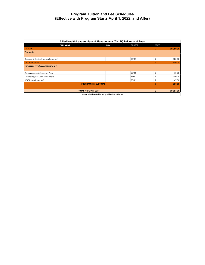| Allied Health Leadership and Management (AHLM) Tuition and Fees |             |                  |              |           |  |
|-----------------------------------------------------------------|-------------|------------------|--------------|-----------|--|
| <b>ITEM NAME</b>                                                | <b>ISBN</b> | <b>COURSE</b>    | <b>PRICE</b> |           |  |
| <b>TUITION</b>                                                  |             |                  | \$           | 19,380.00 |  |
| <b>Textbooks</b>                                                |             |                  |              |           |  |
|                                                                 |             |                  |              |           |  |
| Cengage Unlimited (non-refundable)                              |             | SEM <sub>1</sub> | \$           | 300.00    |  |
| <b>Text Book Totals</b>                                         |             |                  |              | 300.00    |  |
| <b>PROGRAM FEES (NON-REFUNDABLE)</b>                            |             |                  |              |           |  |
|                                                                 |             |                  |              |           |  |
| Commencement Ceremony Fees                                      |             | SEM <sub>5</sub> | \$           | 70.00     |  |
| Technology Fee (non-refundable)                                 |             | SEM <sub>1</sub> | \$           | 200.00    |  |
| STRF (nonrefundable)                                            |             | SEM <sub>1</sub> | \$           | 47.50     |  |
| <b>PROGRAM FEES SUBTOTAL</b>                                    |             |                  | Ś            | 317.50    |  |
|                                                                 |             |                  |              |           |  |
| <b>TOTAL PROGRAM COST</b>                                       |             |                  | S            | 19,997.50 |  |
| Financial aid available for qualified candidates                |             |                  |              |           |  |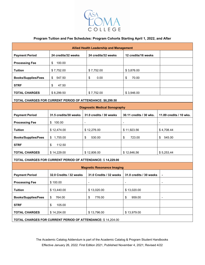

#### **Program Tuition and Fee Schedules: Program Cohorts Starting April 1, 2022, and After**

| <b>Allied Health Leadership and Management</b>              |                                                            |                                                             |                              |                         |  |
|-------------------------------------------------------------|------------------------------------------------------------|-------------------------------------------------------------|------------------------------|-------------------------|--|
| <b>Payment Period</b>                                       | 24 credits/32 weeks                                        | 24 credits/32 weeks                                         | 12 credits/16 weeks          |                         |  |
| <b>Processing Fee</b>                                       | 100.00<br>\$                                               |                                                             |                              |                         |  |
| <b>Tuition</b>                                              | \$7,752.00                                                 | \$7,752.00                                                  | \$3,876.00                   |                         |  |
| <b>Books/Supplies/Fees</b>                                  | \$<br>547.50                                               | \$<br>0.00                                                  | \$<br>70.00                  |                         |  |
| <b>STRF</b>                                                 | \$<br>47.50                                                |                                                             |                              |                         |  |
| <b>TOTAL CHARGES</b>                                        | \$8,299.50                                                 | \$7,752.00                                                  | \$3,946.00                   |                         |  |
|                                                             | TOTAL CHARGES FOR CURRENT PERIOD OF ATTENDANCE: \$8,299.50 |                                                             |                              |                         |  |
|                                                             |                                                            | <b>Diagnostic Medical Sonography</b>                        |                              |                         |  |
| <b>Payment Period</b>                                       | 31.5 credits/30 weeks                                      | 31.0 credits / 30 weeks                                     | 30.11 credits / 30 wks.      | 11.89 credits / 10 wks. |  |
| <b>Processing Fee</b>                                       | 100.00<br>\$                                               | $\overline{\phantom{a}}$                                    | $\frac{1}{2}$                | $\blacksquare$          |  |
| <b>Tuition</b>                                              | \$12,474.00                                                | \$12,276.00                                                 | \$11,923.56                  | \$4,708.44              |  |
| <b>Books/Supplies/Fees</b>                                  | 1,755.00<br>\$                                             | 530.00<br>\$                                                | 723.00<br>\$                 | 545.00<br>\$            |  |
| <b>STRF</b>                                                 | 112.50<br>\$                                               |                                                             |                              |                         |  |
| <b>TOTAL CHARGES</b>                                        | \$14,229.00                                                | \$12,806.00                                                 | \$12,646,56                  | \$5,253,44              |  |
|                                                             |                                                            | TOTAL CHARGES FOR CURRENT PERIOD OF ATTENDANCE: \$14,229.00 |                              |                         |  |
| <b>Magnetic Resonance Imaging</b>                           |                                                            |                                                             |                              |                         |  |
| <b>Payment Period</b>                                       | 32.0 Credits / 32 weeks                                    | 31.0 Credits / 32 weeks                                     | 31.0 credits / 30 weeks      | -                       |  |
| <b>Processing Fee</b>                                       | \$100.00                                                   | $\qquad \qquad \blacksquare$                                | $\qquad \qquad \blacksquare$ | -                       |  |
| <b>Tuition</b>                                              | \$13,440.00                                                | \$13,020.00                                                 | \$13,020.00                  |                         |  |
| <b>Books/Supplies/Fees</b>                                  | 764.00<br>\$                                               | 776.00<br>\$                                                | \$<br>959.00                 |                         |  |
| <b>STRF</b>                                                 | 105.00<br>\$                                               |                                                             |                              |                         |  |
| <b>TOTAL CHARGES</b>                                        | \$14,204.00                                                | \$13,796.00                                                 | \$13,979.00                  |                         |  |
| TOTAL CHARGES FOR CURRENT PERIOD OF ATTENDANCE: \$14,204.00 |                                                            |                                                             |                              |                         |  |

The Academic Catalog Addendum is part of the Academic Catalog & Program Student Handbooks Effective January 26, 2022. First Edition 2021, Published November 4, 2021; Revised 4/22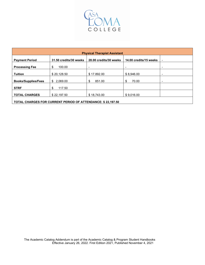

| <b>Physical Therapist Assistant</b>      |                        |                        |                        |                |
|------------------------------------------|------------------------|------------------------|------------------------|----------------|
| <b>Payment Period</b>                    | 31.50 credits/30 weeks | 28.00 credits/30 weeks | 14.00 credits/15 weeks | $\blacksquare$ |
| <b>Processing Fee</b>                    | \$<br>100.00           | $\blacksquare$         |                        | $\blacksquare$ |
| <b>Tuition</b>                           | \$20,128.50            | \$17.892.00            | \$8,946.00             | $\blacksquare$ |
| <b>Books/Supplies/Fees</b>               | \$2.069.00             | \$<br>851.00           | 70.00<br>\$            | -              |
| <b>STRF</b>                              | 117.50<br>\$           |                        |                        |                |
| <b>TOTAL CHARGES</b>                     | \$22,197.50            | \$18,743.00            | \$9,016.00             |                |
| - . ------- - - - - . <i>- - . -</i> - - |                        |                        |                        |                |

**TOTAL CHARGES FOR CURRENT PERIOD OF ATTENDANCE: \$ 22,197.50**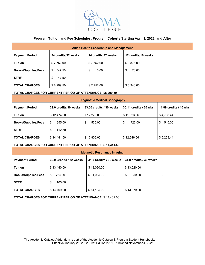

#### **Program Tuition and Fee Schedules: Program Cohorts Starting April 1, 2022, and After**

| <b>Allied Health Leadership and Management</b>              |                         |                                                             |                         |                          |  |
|-------------------------------------------------------------|-------------------------|-------------------------------------------------------------|-------------------------|--------------------------|--|
| <b>Payment Period</b>                                       | 24 credits/32 weeks     | 24 credits/32 weeks                                         | 12 credits/16 weeks     |                          |  |
| <b>Tuition</b>                                              | \$7,752.00              | \$7,752.00                                                  | \$3,876.00              |                          |  |
| <b>Books/Supplies/Fees</b>                                  | \$<br>547.50            | 0.00<br>\$                                                  | \$<br>70.00             |                          |  |
| <b>STRF</b>                                                 | \$<br>47.50             |                                                             |                         |                          |  |
| <b>TOTAL CHARGES</b>                                        | \$8,299.50              | \$7,752.00                                                  | \$3,946.00              |                          |  |
| TOTAL CHARGES FOR CURRENT PERIOD OF ATTENDANCE: \$8,299.50  |                         |                                                             |                         |                          |  |
| <b>Diagnostic Medical Sonography</b>                        |                         |                                                             |                         |                          |  |
| <b>Payment Period</b>                                       | 29.0 credits/30 weeks   | 33.50 credits / 30 weeks                                    | 30.11 credits / 30 wks. | 11.89 credits / 10 wks.  |  |
| <b>Tuition</b>                                              | \$12,474.00             | \$12,276.00                                                 | \$11,923.56             | \$4,708.44               |  |
| <b>Books/Supplies/Fees</b>                                  | 1,855.00<br>\$          | \$<br>530.00                                                | \$<br>723.00            | \$<br>545.00             |  |
| <b>STRF</b>                                                 | 112.50<br>\$            |                                                             |                         |                          |  |
| <b>TOTAL CHARGES</b>                                        | \$14,441.50             | \$12,806.00                                                 | \$12,646,56             | \$5,253,44               |  |
|                                                             |                         | TOTAL CHARGES FOR CURRENT PERIOD OF ATTENDANCE: \$14,341.50 |                         |                          |  |
|                                                             |                         | <b>Magnetic Resonance Imaging</b>                           |                         |                          |  |
| <b>Payment Period</b>                                       | 32.0 Credits / 32 weeks | 31.0 Credits / 32 weeks                                     | 31.0 credits / 30 weeks | ٠                        |  |
| <b>Tuition</b>                                              | \$13,440.00             | \$13,020.00                                                 | \$13,020.00             |                          |  |
| <b>Books/Supplies/Fees</b>                                  | 764.00<br>\$            | \$1,085.00                                                  | 959.00<br>\$            | $\overline{\phantom{a}}$ |  |
| <b>STRF</b>                                                 | \$<br>105.00            |                                                             |                         |                          |  |
| <b>TOTAL CHARGES</b>                                        | \$14,409.00             | \$14,105.00                                                 | \$13,979.00             |                          |  |
| TOTAL CHARGES FOR CURRENT PERIOD OF ATTENDANCE: \$14,409.00 |                         |                                                             |                         |                          |  |
|                                                             |                         |                                                             |                         |                          |  |
|                                                             |                         |                                                             |                         |                          |  |
|                                                             |                         |                                                             |                         |                          |  |